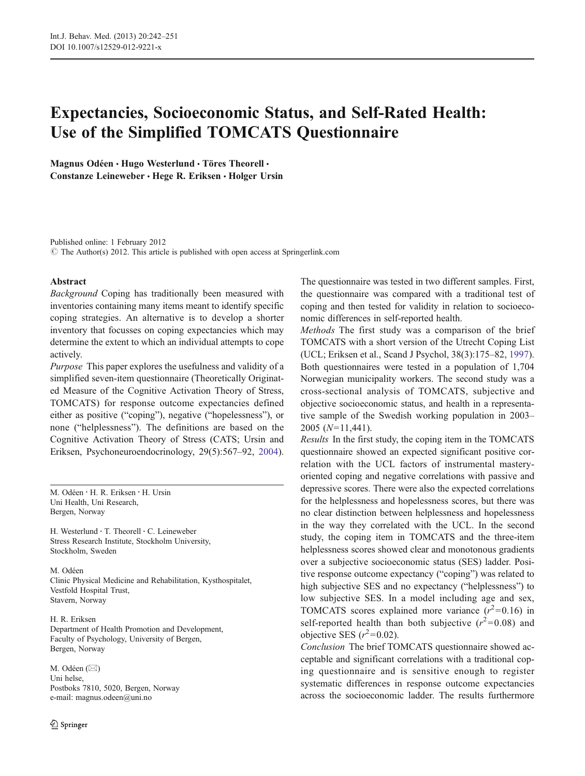# Expectancies, Socioeconomic Status, and Self-Rated Health: Use of the Simplified TOMCATS Questionnaire

Magnus Odéen · Hugo Westerlund · Töres Theorell · Constanze Leineweber · Hege R. Eriksen · Holger Ursin

Published online: 1 February 2012  $\odot$  The Author(s) 2012. This article is published with open access at Springerlink.com

# Abstract

Background Coping has traditionally been measured with inventories containing many items meant to identify specific coping strategies. An alternative is to develop a shorter inventory that focusses on coping expectancies which may determine the extent to which an individual attempts to cope actively.

Purpose This paper explores the usefulness and validity of a simplified seven-item questionnaire (Theoretically Originated Measure of the Cognitive Activation Theory of Stress, TOMCATS) for response outcome expectancies defined either as positive ("coping"), negative ("hopelessness"), or none ("helplessness"). The definitions are based on the Cognitive Activation Theory of Stress (CATS; Ursin and Eriksen, Psychoneuroendocrinology, 29(5):567–92, [2004](#page-9-0)).

M. Odéen : H. R. Eriksen : H. Ursin Uni Health, Uni Research, Bergen, Norway

H. Westerlund · T. Theorell · C. Leineweber Stress Research Institute, Stockholm University, Stockholm, Sweden

M. Odéen Clinic Physical Medicine and Rehabilitation, Kysthospitalet, Vestfold Hospital Trust, Stavern, Norway

H. R. Eriksen Department of Health Promotion and Development, Faculty of Psychology, University of Bergen, Bergen, Norway

M. Odéen  $(\boxtimes)$ Uni helse, Postboks 7810, 5020, Bergen, Norway e-mail: magnus.odeen@uni.no

The questionnaire was tested in two different samples. First, the questionnaire was compared with a traditional test of coping and then tested for validity in relation to socioeconomic differences in self-reported health.

Methods The first study was a comparison of the brief TOMCATS with a short version of the Utrecht Coping List (UCL; Eriksen et al., Scand J Psychol, 38(3):175–82, [1997\)](#page-8-0). Both questionnaires were tested in a population of 1,704 Norwegian municipality workers. The second study was a cross-sectional analysis of TOMCATS, subjective and objective socioeconomic status, and health in a representative sample of the Swedish working population in 2003–  $2005 (N=11,441).$ 

Results In the first study, the coping item in the TOMCATS questionnaire showed an expected significant positive correlation with the UCL factors of instrumental masteryoriented coping and negative correlations with passive and depressive scores. There were also the expected correlations for the helplessness and hopelessness scores, but there was no clear distinction between helplessness and hopelessness in the way they correlated with the UCL. In the second study, the coping item in TOMCATS and the three-item helplessness scores showed clear and monotonous gradients over a subjective socioeconomic status (SES) ladder. Positive response outcome expectancy ("coping") was related to high subjective SES and no expectancy ("helplessness") to low subjective SES. In a model including age and sex, TOMCATS scores explained more variance  $(r^2=0.16)$  in self-reported health than both subjective  $(r^2=0.08)$  and objective SES  $(r^2=0.02)$ .

Conclusion The brief TOMCATS questionnaire showed acceptable and significant correlations with a traditional coping questionnaire and is sensitive enough to register systematic differences in response outcome expectancies across the socioeconomic ladder. The results furthermore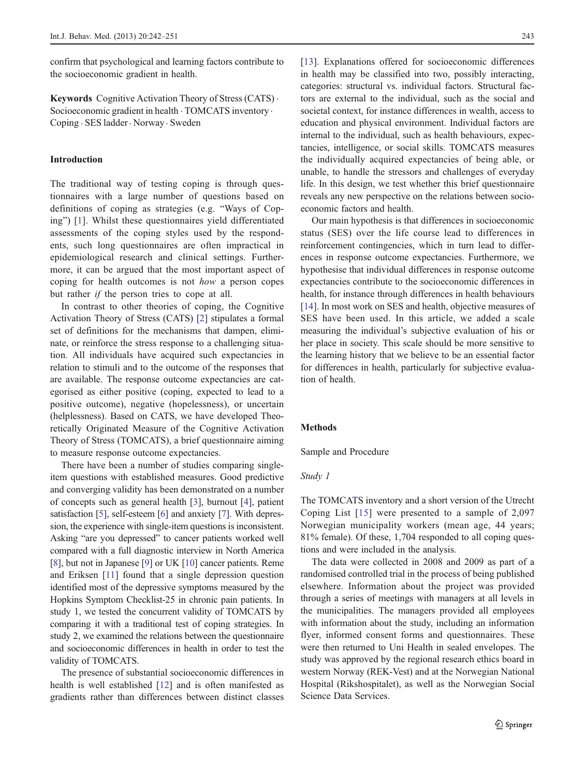confirm that psychological and learning factors contribute to the socioeconomic gradient in health.

Keywords Cognitive Activation Theory of Stress (CATS) . Socioeconomic gradient in health . TOMCATS inventory. Coping . SES ladder. Norway . Sweden

# Introduction

The traditional way of testing coping is through questionnaires with a large number of questions based on definitions of coping as strategies (e.g. "Ways of Coping") [[1\]](#page-8-0). Whilst these questionnaires yield differentiated assessments of the coping styles used by the respondents, such long questionnaires are often impractical in epidemiological research and clinical settings. Furthermore, it can be argued that the most important aspect of coping for health outcomes is not how a person copes but rather if the person tries to cope at all.

In contrast to other theories of coping, the Cognitive Activation Theory of Stress (CATS) [\[2](#page-8-0)] stipulates a formal set of definitions for the mechanisms that dampen, eliminate, or reinforce the stress response to a challenging situation. All individuals have acquired such expectancies in relation to stimuli and to the outcome of the responses that are available. The response outcome expectancies are categorised as either positive (coping, expected to lead to a positive outcome), negative (hopelessness), or uncertain (helplessness). Based on CATS, we have developed Theoretically Originated Measure of the Cognitive Activation Theory of Stress (TOMCATS), a brief questionnaire aiming to measure response outcome expectancies.

There have been a number of studies comparing singleitem questions with established measures. Good predictive and converging validity has been demonstrated on a number of concepts such as general health [[3\]](#page-8-0), burnout [\[4](#page-8-0)], patient satisfaction [[5\]](#page-8-0), self-esteem [\[6](#page-8-0)] and anxiety [[7](#page-8-0)]. With depression, the experience with single-item questions is inconsistent. Asking "are you depressed" to cancer patients worked well compared with a full diagnostic interview in North America [\[8](#page-8-0)], but not in Japanese [\[9](#page-8-0)] or UK [\[10](#page-8-0)] cancer patients. Reme and Eriksen [[11](#page-8-0)] found that a single depression question identified most of the depressive symptoms measured by the Hopkins Symptom Checklist-25 in chronic pain patients. In study 1, we tested the concurrent validity of TOMCATS by comparing it with a traditional test of coping strategies. In study 2, we examined the relations between the questionnaire and socioeconomic differences in health in order to test the validity of TOMCATS.

The presence of substantial socioeconomic differences in health is well established [\[12](#page-8-0)] and is often manifested as gradients rather than differences between distinct classes [\[13](#page-8-0)]. Explanations offered for socioeconomic differences in health may be classified into two, possibly interacting, categories: structural vs. individual factors. Structural factors are external to the individual, such as the social and societal context, for instance differences in wealth, access to education and physical environment. Individual factors are internal to the individual, such as health behaviours, expectancies, intelligence, or social skills. TOMCATS measures the individually acquired expectancies of being able, or unable, to handle the stressors and challenges of everyday life. In this design, we test whether this brief questionnaire reveals any new perspective on the relations between socioeconomic factors and health.

Our main hypothesis is that differences in socioeconomic status (SES) over the life course lead to differences in reinforcement contingencies, which in turn lead to differences in response outcome expectancies. Furthermore, we hypothesise that individual differences in response outcome expectancies contribute to the socioeconomic differences in health, for instance through differences in health behaviours [\[14](#page-8-0)]. In most work on SES and health, objective measures of SES have been used. In this article, we added a scale measuring the individual's subjective evaluation of his or her place in society. This scale should be more sensitive to the learning history that we believe to be an essential factor for differences in health, particularly for subjective evaluation of health.

# Methods

Sample and Procedure

# Study 1

The TOMCATS inventory and a short version of the Utrecht Coping List [\[15\]](#page-8-0) were presented to a sample of 2,097 Norwegian municipality workers (mean age, 44 years; 81% female). Of these, 1,704 responded to all coping questions and were included in the analysis.

The data were collected in 2008 and 2009 as part of a randomised controlled trial in the process of being published elsewhere. Information about the project was provided through a series of meetings with managers at all levels in the municipalities. The managers provided all employees with information about the study, including an information flyer, informed consent forms and questionnaires. These were then returned to Uni Health in sealed envelopes. The study was approved by the regional research ethics board in western Norway (REK-Vest) and at the Norwegian National Hospital (Rikshospitalet), as well as the Norwegian Social Science Data Services.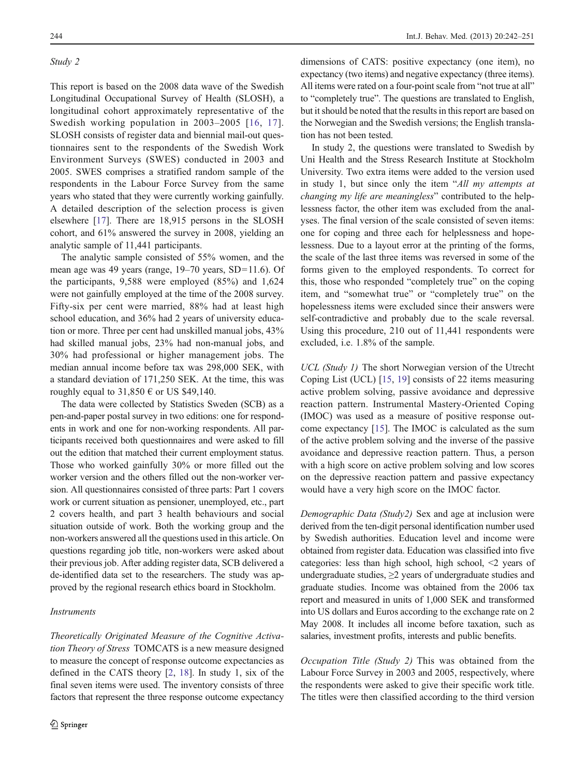### Study 2

This report is based on the 2008 data wave of the Swedish Longitudinal Occupational Survey of Health (SLOSH), a longitudinal cohort approximately representative of the Swedish working population in 2003–2005 [[16,](#page-8-0) [17](#page-8-0)]. SLOSH consists of register data and biennial mail-out questionnaires sent to the respondents of the Swedish Work Environment Surveys (SWES) conducted in 2003 and 2005. SWES comprises a stratified random sample of the respondents in the Labour Force Survey from the same years who stated that they were currently working gainfully. A detailed description of the selection process is given elsewhere [\[17](#page-8-0)]. There are 18,915 persons in the SLOSH cohort, and 61% answered the survey in 2008, yielding an analytic sample of 11,441 participants.

The analytic sample consisted of 55% women, and the mean age was 49 years (range,  $19-70$  years,  $SD=11.6$ ). Of the participants, 9,588 were employed (85%) and 1,624 were not gainfully employed at the time of the 2008 survey. Fifty-six per cent were married, 88% had at least high school education, and 36% had 2 years of university education or more. Three per cent had unskilled manual jobs, 43% had skilled manual jobs, 23% had non-manual jobs, and 30% had professional or higher management jobs. The median annual income before tax was 298,000 SEK, with a standard deviation of 171,250 SEK. At the time, this was roughly equal to  $31,850 \text{ } \infty$  or US \$49,140.

The data were collected by Statistics Sweden (SCB) as a pen-and-paper postal survey in two editions: one for respondents in work and one for non-working respondents. All participants received both questionnaires and were asked to fill out the edition that matched their current employment status. Those who worked gainfully 30% or more filled out the worker version and the others filled out the non-worker version. All questionnaires consisted of three parts: Part 1 covers work or current situation as pensioner, unemployed, etc., part 2 covers health, and part 3 health behaviours and social situation outside of work. Both the working group and the non-workers answered all the questions used in this article. On questions regarding job title, non-workers were asked about their previous job. After adding register data, SCB delivered a de-identified data set to the researchers. The study was approved by the regional research ethics board in Stockholm.

## Instruments

Theoretically Originated Measure of the Cognitive Activation Theory of Stress TOMCATS is a new measure designed to measure the concept of response outcome expectancies as defined in the CATS theory [\[2](#page-8-0), [18\]](#page-8-0). In study 1, six of the final seven items were used. The inventory consists of three factors that represent the three response outcome expectancy

dimensions of CATS: positive expectancy (one item), no expectancy (two items) and negative expectancy (three items). All items were rated on a four-point scale from "not true at all" to "completely true". The questions are translated to English, but it should be noted that the results in this report are based on the Norwegian and the Swedish versions; the English translation has not been tested.

In study 2, the questions were translated to Swedish by Uni Health and the Stress Research Institute at Stockholm University. Two extra items were added to the version used in study 1, but since only the item "All my attempts at changing my life are meaningless" contributed to the helplessness factor, the other item was excluded from the analyses. The final version of the scale consisted of seven items: one for coping and three each for helplessness and hopelessness. Due to a layout error at the printing of the forms, the scale of the last three items was reversed in some of the forms given to the employed respondents. To correct for this, those who responded "completely true" on the coping item, and "somewhat true" or "completely true" on the hopelessness items were excluded since their answers were self-contradictive and probably due to the scale reversal. Using this procedure, 210 out of 11,441 respondents were excluded, i.e. 1.8% of the sample.

UCL (Study 1) The short Norwegian version of the Utrecht Coping List (UCL) [\[15](#page-8-0), [19](#page-8-0)] consists of 22 items measuring active problem solving, passive avoidance and depressive reaction pattern. Instrumental Mastery-Oriented Coping (IMOC) was used as a measure of positive response outcome expectancy [[15\]](#page-8-0). The IMOC is calculated as the sum of the active problem solving and the inverse of the passive avoidance and depressive reaction pattern. Thus, a person with a high score on active problem solving and low scores on the depressive reaction pattern and passive expectancy would have a very high score on the IMOC factor.

Demographic Data (Study2) Sex and age at inclusion were derived from the ten-digit personal identification number used by Swedish authorities. Education level and income were obtained from register data. Education was classified into five categories: less than high school, high school, <2 years of undergraduate studies,  $\geq$ 2 years of undergraduate studies and graduate studies. Income was obtained from the 2006 tax report and measured in units of 1,000 SEK and transformed into US dollars and Euros according to the exchange rate on 2 May 2008. It includes all income before taxation, such as salaries, investment profits, interests and public benefits.

Occupation Title (Study 2) This was obtained from the Labour Force Survey in 2003 and 2005, respectively, where the respondents were asked to give their specific work title. The titles were then classified according to the third version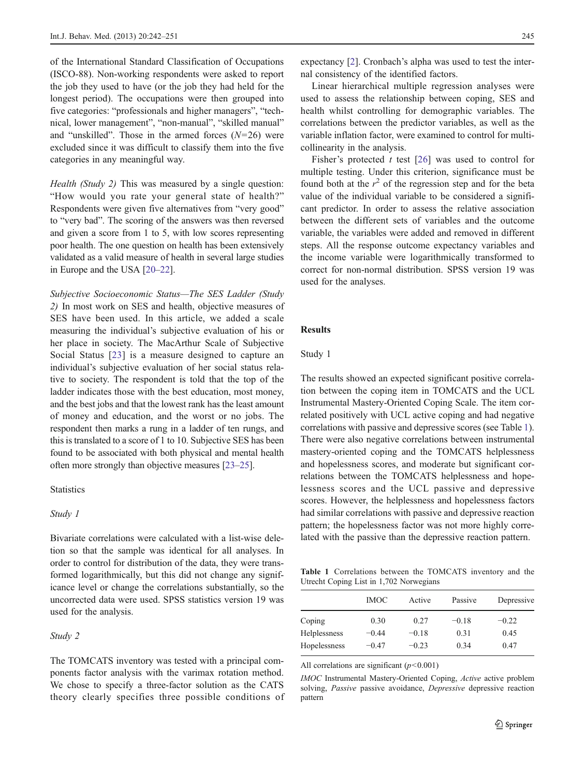of the International Standard Classification of Occupations (ISCO-88). Non-working respondents were asked to report the job they used to have (or the job they had held for the longest period). The occupations were then grouped into five categories: "professionals and higher managers", "technical, lower management", "non-manual", "skilled manual" and "unskilled". Those in the armed forces  $(N=26)$  were excluded since it was difficult to classify them into the five categories in any meaningful way.

Health (Study 2) This was measured by a single question: "How would you rate your general state of health?" Respondents were given five alternatives from "very good" to "very bad". The scoring of the answers was then reversed and given a score from 1 to 5, with low scores representing poor health. The one question on health has been extensively validated as a valid measure of health in several large studies in Europe and the USA [\[20](#page-8-0)–[22\]](#page-8-0).

Subjective Socioeconomic Status—The SES Ladder (Study 2) In most work on SES and health, objective measures of SES have been used. In this article, we added a scale measuring the individual's subjective evaluation of his or her place in society. The MacArthur Scale of Subjective Social Status [[23](#page-8-0)] is a measure designed to capture an individual's subjective evaluation of her social status relative to society. The respondent is told that the top of the ladder indicates those with the best education, most money, and the best jobs and that the lowest rank has the least amount of money and education, and the worst or no jobs. The respondent then marks a rung in a ladder of ten rungs, and this is translated to a score of 1 to 10. Subjective SES has been found to be associated with both physical and mental health often more strongly than objective measures [\[23](#page-8-0)–[25\]](#page-8-0).

# **Statistics**

#### Study 1

Bivariate correlations were calculated with a list-wise deletion so that the sample was identical for all analyses. In order to control for distribution of the data, they were transformed logarithmically, but this did not change any significance level or change the correlations substantially, so the uncorrected data were used. SPSS statistics version 19 was used for the analysis.

# Study 2

The TOMCATS inventory was tested with a principal components factor analysis with the varimax rotation method. We chose to specify a three-factor solution as the CATS theory clearly specifies three possible conditions of expectancy [[2\]](#page-8-0). Cronbach's alpha was used to test the internal consistency of the identified factors.

Linear hierarchical multiple regression analyses were used to assess the relationship between coping, SES and health whilst controlling for demographic variables. The correlations between the predictor variables, as well as the variable inflation factor, were examined to control for multicollinearity in the analysis.

Fisher's protected  $t$  test [[26\]](#page-8-0) was used to control for multiple testing. Under this criterion, significance must be found both at the  $r^2$  of the regression step and for the beta value of the individual variable to be considered a significant predictor. In order to assess the relative association between the different sets of variables and the outcome variable, the variables were added and removed in different steps. All the response outcome expectancy variables and the income variable were logarithmically transformed to correct for non-normal distribution. SPSS version 19 was used for the analyses.

### Results

# Study 1

The results showed an expected significant positive correlation between the coping item in TOMCATS and the UCL Instrumental Mastery-Oriented Coping Scale. The item correlated positively with UCL active coping and had negative correlations with passive and depressive scores (see Table 1). There were also negative correlations between instrumental mastery-oriented coping and the TOMCATS helplessness and hopelessness scores, and moderate but significant correlations between the TOMCATS helplessness and hopelessness scores and the UCL passive and depressive scores. However, the helplessness and hopelessness factors had similar correlations with passive and depressive reaction pattern; the hopelessness factor was not more highly correlated with the passive than the depressive reaction pattern.

Table 1 Correlations between the TOMCATS inventory and the Utrecht Coping List in 1,702 Norwegians

|              | <b>IMOC</b> | Active  | Passive | Depressive |
|--------------|-------------|---------|---------|------------|
| Coping       | 0.30        | 0.27    | $-0.18$ | $-0.22$    |
| Helplessness | $-0.44$     | $-0.18$ | 0.31    | 0.45       |
| Hopelessness | $-0.47$     | $-0.23$ | 0.34    | 0.47       |

All correlations are significant  $(p<0.001)$ 

IMOC Instrumental Mastery-Oriented Coping, Active active problem solving, Passive passive avoidance, Depressive depressive reaction pattern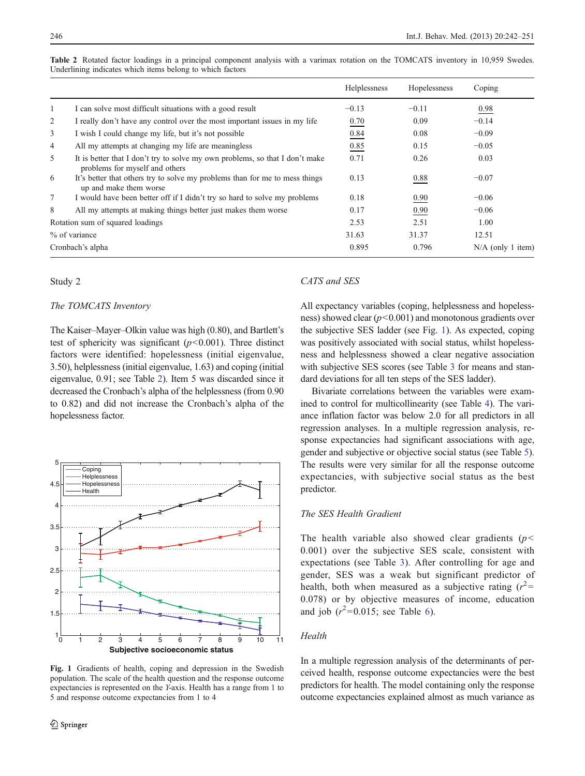|   |                                                                                                                | Helplessness | Hopelessness | Coping              |
|---|----------------------------------------------------------------------------------------------------------------|--------------|--------------|---------------------|
| 1 | I can solve most difficult situations with a good result                                                       | $-0.13$      | $-0.11$      | 0.98                |
| 2 | I really don't have any control over the most important issues in my life                                      | 0.70         | 0.09         | $-0.14$             |
| 3 | I wish I could change my life, but it's not possible                                                           | 0.84         | 0.08         | $-0.09$             |
| 4 | All my attempts at changing my life are meaningless                                                            | 0.85         | 0.15         | $-0.05$             |
| 5 | It is better that I don't try to solve my own problems, so that I don't make<br>problems for myself and others | 0.71         | 0.26         | 0.03                |
| 6 | It's better that others try to solve my problems than for me to mess things<br>up and make them worse          | 0.13         | 0.88         | $-0.07$             |
| 7 | I would have been better off if I didn't try so hard to solve my problems                                      | 0.18         | 0.90         | $-0.06$             |
| 8 | All my attempts at making things better just makes them worse                                                  | 0.17         | 0.90         | $-0.06$             |
|   | Rotation sum of squared loadings                                                                               | 2.53         | 2.51         | 1.00                |
|   | % of variance                                                                                                  | 31.63        | 31.37        | 12.51               |
|   | Cronbach's alpha                                                                                               | 0.895        | 0.796        | $N/A$ (only 1 item) |

|  |  |  |                                                           |  |  | Table 2 Rotated factor loadings in a principal component analysis with a varimax rotation on the TOMCATS inventory in 10,959 Swedes |  |  |
|--|--|--|-----------------------------------------------------------|--|--|-------------------------------------------------------------------------------------------------------------------------------------|--|--|
|  |  |  | Underlining indicates which items belong to which factors |  |  |                                                                                                                                     |  |  |

# Study 2

# The TOMCATS Inventory

The Kaiser–Mayer–Olkin value was high (0.80), and Bartlett's test of sphericity was significant  $(p<0.001)$ . Three distinct factors were identified: hopelessness (initial eigenvalue, 3.50), helplessness (initial eigenvalue, 1.63) and coping (initial eigenvalue, 0.91; see Table 2). Item 5 was discarded since it decreased the Cronbach's alpha of the helplessness (from 0.90 to 0.82) and did not increase the Cronbach's alpha of the hopelessness factor.



Fig. 1 Gradients of health, coping and depression in the Swedish population. The scale of the health question and the response outcome expectancies is represented on the Y-axis. Health has a range from 1 to 5 and response outcome expectancies from 1 to 4

# CATS and SES

All expectancy variables (coping, helplessness and hopelessness) showed clear  $(p<0.001)$  and monotonous gradients over the subjective SES ladder (see Fig. 1). As expected, coping was positively associated with social status, whilst hopelessness and helplessness showed a clear negative association with subjective SES scores (see Table [3](#page-5-0) for means and standard deviations for all ten steps of the SES ladder).

Bivariate correlations between the variables were examined to control for multicollinearity (see Table [4\)](#page-5-0). The variance inflation factor was below 2.0 for all predictors in all regression analyses. In a multiple regression analysis, response expectancies had significant associations with age, gender and subjective or objective social status (see Table [5\)](#page-6-0). The results were very similar for all the response outcome expectancies, with subjective social status as the best predictor.

# The SES Health Gradient

The health variable also showed clear gradients ( $p$  < 0.001) over the subjective SES scale, consistent with expectations (see Table [3](#page-5-0)). After controlling for age and gender, SES was a weak but significant predictor of health, both when measured as a subjective rating  $(r^2 =$ 0.078) or by objective measures of income, education and job  $(r^2=0.015)$ ; see Table [6\)](#page-6-0).

# Health

In a multiple regression analysis of the determinants of perceived health, response outcome expectancies were the best predictors for health. The model containing only the response outcome expectancies explained almost as much variance as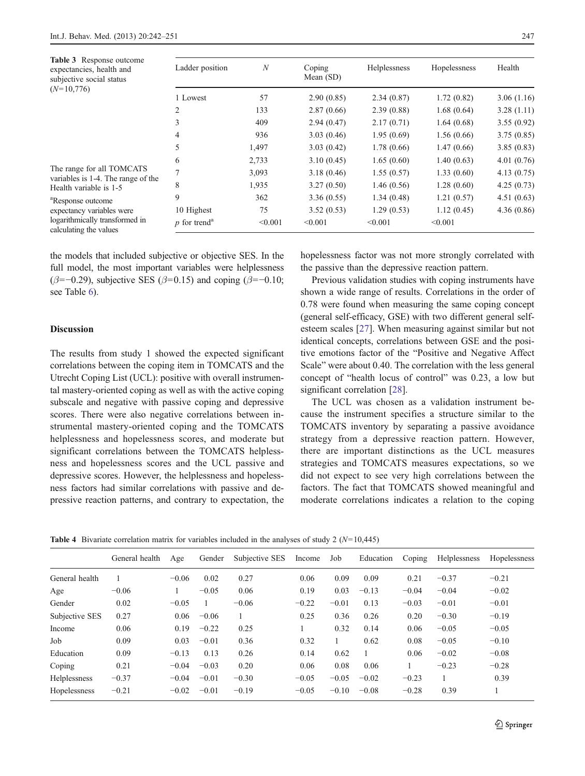<span id="page-5-0"></span>

| Table 3 Response outcome<br>expectancies, health and<br>subjective social status | Ladder position            | $\boldsymbol{N}$ | Coping<br>Mean (SD) |            | Hopelessness | Health     |  |
|----------------------------------------------------------------------------------|----------------------------|------------------|---------------------|------------|--------------|------------|--|
| $(N=10,776)$                                                                     | 1 Lowest                   | 57               | 2.90(0.85)          | 2.34(0.87) | 1.72(0.82)   | 3.06(1.16) |  |
|                                                                                  | $\overline{2}$             | 133              | 2.87(0.66)          | 2.39(0.88) | 1.68(0.64)   | 3.28(1.11) |  |
|                                                                                  | 3                          | 409              | 2.94(0.47)          | 2.17(0.71) | 1.64(0.68)   | 3.55(0.92) |  |
|                                                                                  | 4                          | 936              | 3.03(0.46)          | 1.95(0.69) | 1.56(0.66)   | 3.75(0.85) |  |
|                                                                                  | 5                          | 1,497            | 3.03(0.42)          | 1.78(0.66) | 1.47(0.66)   | 3.85(0.83) |  |
|                                                                                  | 6                          | 2,733            | 3.10(0.45)          | 1.65(0.60) | 1.40(0.63)   | 4.01(0.76) |  |
| The range for all TOMCATS                                                        |                            | 3,093            | 3.18(0.46)          | 1.55(0.57) | 1.33(0.60)   | 4.13(0.75) |  |
| variables is 1-4. The range of the<br>Health variable is 1-5                     | 8                          | 1,935            | 3.27(0.50)          | 1.46(0.56) | 1.28(0.60)   | 4.25(0.73) |  |
| <sup>a</sup> Response outcome                                                    | 9                          | 362              | 3.36(0.55)          | 1.34(0.48) | 1.21(0.57)   | 4.51(0.63) |  |
| expectancy variables were                                                        | 10 Highest                 | 75               | 3.52(0.53)          | 1.29(0.53) | 1.12(0.45)   | 4.36(0.86) |  |
| logarithmically transformed in<br>calculating the values                         | $p$ for trend <sup>a</sup> | < 0.001          | < 0.001             | < 0.001    | < 0.001      |            |  |

the models that included subjective or objective SES. In the full model, the most important variables were helplessness ( $\beta$ =-0.29), subjective SES ( $\beta$ =0.15) and coping ( $\beta$ =-0.10; see Table [6\)](#page-6-0).

# **Discussion**

The results from study 1 showed the expected significant correlations between the coping item in TOMCATS and the Utrecht Coping List (UCL): positive with overall instrumental mastery-oriented coping as well as with the active coping subscale and negative with passive coping and depressive scores. There were also negative correlations between instrumental mastery-oriented coping and the TOMCATS helplessness and hopelessness scores, and moderate but significant correlations between the TOMCATS helplessness and hopelessness scores and the UCL passive and depressive scores. However, the helplessness and hopelessness factors had similar correlations with passive and depressive reaction patterns, and contrary to expectation, the hopelessness factor was not more strongly correlated with the passive than the depressive reaction pattern.

Previous validation studies with coping instruments have shown a wide range of results. Correlations in the order of 0.78 were found when measuring the same coping concept (general self-efficacy, GSE) with two different general selfesteem scales [[27\]](#page-8-0). When measuring against similar but not identical concepts, correlations between GSE and the positive emotions factor of the "Positive and Negative Affect Scale" were about 0.40. The correlation with the less general concept of "health locus of control" was 0.23, a low but significant correlation [[28\]](#page-8-0).

The UCL was chosen as a validation instrument because the instrument specifies a structure similar to the TOMCATS inventory by separating a passive avoidance strategy from a depressive reaction pattern. However, there are important distinctions as the UCL measures strategies and TOMCATS measures expectations, so we did not expect to see very high correlations between the factors. The fact that TOMCATS showed meaningful and moderate correlations indicates a relation to the coping

**Table 4** Bivariate correlation matrix for variables included in the analyses of study 2 ( $N=10,445$ )

|                | General health | Age     | Gender  | Subjective SES | Income  | Job     | Education | Coping  | Helplessness | Hopelessness |
|----------------|----------------|---------|---------|----------------|---------|---------|-----------|---------|--------------|--------------|
| General health |                | $-0.06$ | 0.02    | 0.27           | 0.06    | 0.09    | 0.09      | 0.21    | $-0.37$      | $-0.21$      |
| Age            | $-0.06$        |         | $-0.05$ | 0.06           | 0.19    | 0.03    | $-0.13$   | $-0.04$ | $-0.04$      | $-0.02$      |
| Gender         | 0.02           | $-0.05$ |         | $-0.06$        | $-0.22$ | $-0.01$ | 0.13      | $-0.03$ | $-0.01$      | $-0.01$      |
| Subjective SES | 0.27           | 0.06    | $-0.06$ |                | 0.25    | 0.36    | 0.26      | 0.20    | $-0.30$      | $-0.19$      |
| Income         | 0.06           | 0.19    | $-0.22$ | 0.25           |         | 0.32    | 0.14      | 0.06    | $-0.05$      | $-0.05$      |
| Job            | 0.09           | 0.03    | $-0.01$ | 0.36           | 0.32    | 1       | 0.62      | 0.08    | $-0.05$      | $-0.10$      |
| Education      | 0.09           | $-0.13$ | 0.13    | 0.26           | 0.14    | 0.62    |           | 0.06    | $-0.02$      | $-0.08$      |
| Coping         | 0.21           | $-0.04$ | $-0.03$ | 0.20           | 0.06    | 0.08    | 0.06      |         | $-0.23$      | $-0.28$      |
| Helplessness   | $-0.37$        | $-0.04$ | $-0.01$ | $-0.30$        | $-0.05$ | $-0.05$ | $-0.02$   | $-0.23$ |              | 0.39         |
| Hopelessness   | $-0.21$        | $-0.02$ | $-0.01$ | $-0.19$        | $-0.05$ | $-0.10$ | $-0.08$   | $-0.28$ | 0.39         |              |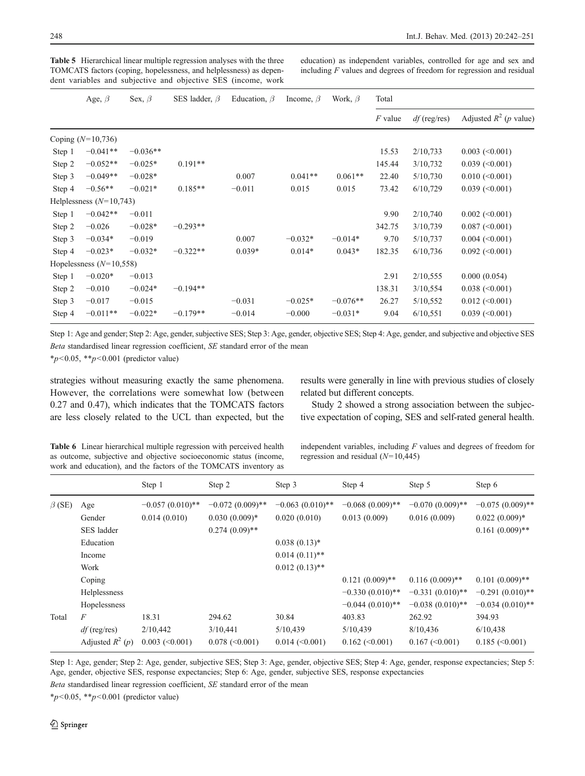<span id="page-6-0"></span>Table 5 Hierarchical linear multiple regression analyses with the three TOMCATS factors (coping, hopelessness, and helplessness) as dependent variables and subjective and objective SES (income, work education) as independent variables, controlled for age and sex and including F values and degrees of freedom for regression and residual

| Age, $\beta$ |                           | Sex, $\beta$ | SES ladder, $\beta$ | Education, $\beta$ | Income, $\beta$ | Work, $\beta$ | Total     |                |                          |  |  |
|--------------|---------------------------|--------------|---------------------|--------------------|-----------------|---------------|-----------|----------------|--------------------------|--|--|
|              |                           |              |                     |                    |                 |               | $F$ value | $df$ (reg/res) | Adjusted $R^2$ (p value) |  |  |
|              | Coping $(N=10, 736)$      |              |                     |                    |                 |               |           |                |                          |  |  |
| Step 1       | $-0.041**$                | $-0.036**$   |                     |                    |                 |               | 15.53     | 2/10,733       | $0.003$ (< $0.001$ )     |  |  |
| Step 2       | $-0.052**$                | $-0.025*$    | $0.191**$           |                    |                 |               | 145.44    | 3/10,732       | $0.039$ (< $0.001$ )     |  |  |
| Step 3       | $-0.049**$                | $-0.028*$    |                     | 0.007              | $0.041**$       | $0.061**$     | 22.40     | 5/10,730       | $0.010 \le 0.001$        |  |  |
| Step 4       | $-0.56**$                 | $-0.021*$    | $0.185**$           | $-0.011$           | 0.015           | 0.015         | 73.42     | 6/10,729       | $0.039$ (< $0.001$ )     |  |  |
|              | Helplessness $(N=10,743)$ |              |                     |                    |                 |               |           |                |                          |  |  |
| Step 1       | $-0.042**$                | $-0.011$     |                     |                    |                 |               | 9.90      | 2/10,740       | $0.002$ (<0.001)         |  |  |
| Step 2       | $-0.026$                  | $-0.028*$    | $-0.293**$          |                    |                 |               | 342.75    | 3/10,739       | $0.087 \approx 0.001$    |  |  |
| Step 3       | $-0.034*$                 | $-0.019$     |                     | 0.007              | $-0.032*$       | $-0.014*$     | 9.70      | 5/10,737       | $0.004 \, (\leq 0.001)$  |  |  |
| Step 4       | $-0.023*$                 | $-0.032*$    | $-0.322**$          | $0.039*$           | $0.014*$        | $0.043*$      | 182.35    | 6/10,736       | $0.092 \approx 0.001$    |  |  |
|              | Hopelessness $(N=10,558)$ |              |                     |                    |                 |               |           |                |                          |  |  |
| Step 1       | $-0.020*$                 | $-0.013$     |                     |                    |                 |               | 2.91      | 2/10,555       | 0.000(0.054)             |  |  |
| Step 2       | $-0.010$                  | $-0.024*$    | $-0.194**$          |                    |                 |               | 138.31    | 3/10,554       | $0.038$ (< $0.001$ )     |  |  |
| Step 3       | $-0.017$                  | $-0.015$     |                     | $-0.031$           | $-0.025*$       | $-0.076**$    | 26.27     | 5/10,552       | $0.012 \, (\leq 0.001)$  |  |  |
| Step 4       | $-0.011**$                | $-0.022*$    | $-0.179**$          | $-0.014$           | $-0.000$        | $-0.031*$     | 9.04      | 6/10,551       | $0.039$ (< $0.001$ )     |  |  |
|              |                           |              |                     |                    |                 |               |           |                |                          |  |  |

Step 1: Age and gender; Step 2: Age, gender, subjective SES; Step 3: Age, gender, objective SES; Step 4: Age, gender, and subjective and objective SES Beta standardised linear regression coefficient, SE standard error of the mean

 $*_{p<0.05, *_{p<0.001} (predictor value)$ 

strategies without measuring exactly the same phenomena. However, the correlations were somewhat low (between 0.27 and 0.47), which indicates that the TOMCATS factors are less closely related to the UCL than expected, but the results were generally in line with previous studies of closely related but different concepts.

Study 2 showed a strong association between the subjective expectation of coping, SES and self-rated general health.

Table 6 Linear hierarchical multiple regression with perceived health as outcome, subjective and objective socioeconomic status (income, work and education), and the factors of the TOMCATS inventory as

independent variables, including  $F$  values and degrees of freedom for regression and residual  $(N=10,445)$ 

|              |                    | Step 1               | Step 2               | Step 3                  | Step 4             | Step 5                | Step 6                |
|--------------|--------------------|----------------------|----------------------|-------------------------|--------------------|-----------------------|-----------------------|
| $\beta$ (SE) | Age                | $-0.057(0.010)**$    | $-0.072(0.009)$ **   | $-0.063(0.010)$ **      | $-0.068(0.009)$ ** | $-0.070(0.009)$ **    | $-0.075(0.009)$ **    |
|              | Gender             | 0.014(0.010)         | $0.030(0.009)*$      | 0.020(0.010)            | 0.013(0.009)       | 0.016(0.009)          | $0.022(0.009)*$       |
|              | SES ladder         |                      | $0.274(0.09)$ **     |                         |                    |                       | $0.161(0.009)$ **     |
|              | Education          |                      |                      | $0.038(0.13)$ *         |                    |                       |                       |
|              | Income             |                      |                      | $0.014(0.11)$ **        |                    |                       |                       |
|              | Work               |                      |                      | $0.012(0.13)$ **        |                    |                       |                       |
|              | Coping             |                      |                      |                         | $0.121(0.009)$ **  | $0.116(0.009)$ **     | $0.101(0.009)$ **     |
|              | Helplessness       |                      |                      |                         | $-0.330(0.010)$ ** | $-0.331(0.010)$ **    | $-0.291(0.010)$ **    |
|              | Hopelessness       |                      |                      |                         | $-0.044(0.010)**$  | $-0.038(0.010)$ **    | $-0.034(0.010)$ **    |
| Total        | F                  | 18.31                | 294.62               | 30.84                   | 403.83             | 262.92                | 394.93                |
|              | $df$ (reg/res)     | 2/10,442             | 3/10,441             | 5/10,439                | 5/10,439           | 8/10,436              | 6/10,438              |
|              | Adjusted $R^2$ (p) | $0.003$ (< $0.001$ ) | $0.078$ (< $0.001$ ) | $0.014 \, (\leq 0.001)$ | $0.162$ (<0.001)   | $0.167 \approx 0.001$ | $0.185 \approx 0.001$ |

Step 1: Age, gender; Step 2: Age, gender, subjective SES; Step 3: Age, gender, objective SES; Step 4: Age, gender, response expectancies; Step 5: Age, gender, objective SES, response expectancies; Step 6: Age, gender, subjective SES, response expectancies

Beta standardised linear regression coefficient, SE standard error of the mean

 $*_{p<0.05, *_{p<0.001} (predictor value)$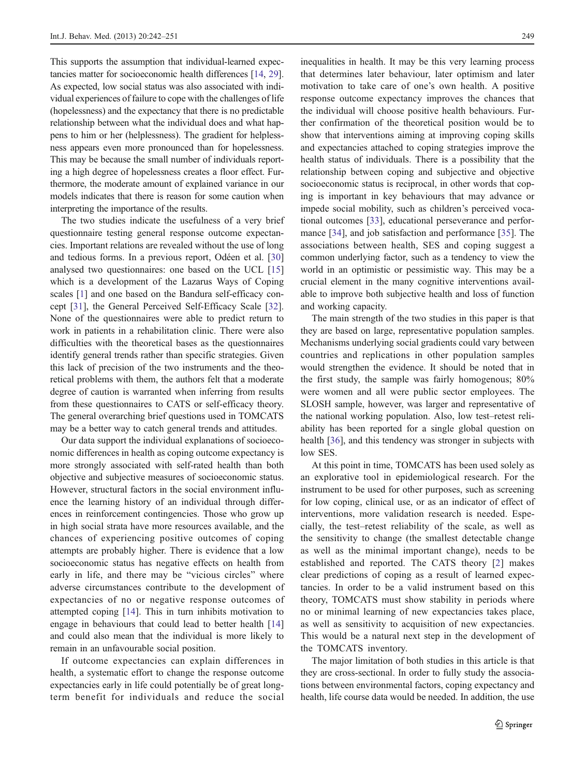This supports the assumption that individual-learned expectancies matter for socioeconomic health differences [[14](#page-8-0), [29\]](#page-8-0). As expected, low social status was also associated with individual experiences of failure to cope with the challenges of life (hopelessness) and the expectancy that there is no predictable relationship between what the individual does and what happens to him or her (helplessness). The gradient for helplessness appears even more pronounced than for hopelessness. This may be because the small number of individuals reporting a high degree of hopelessness creates a floor effect. Furthermore, the moderate amount of explained variance in our models indicates that there is reason for some caution when interpreting the importance of the results.

The two studies indicate the usefulness of a very brief questionnaire testing general response outcome expectancies. Important relations are revealed without the use of long and tedious forms. In a previous report, Odéen et al. [[30\]](#page-8-0) analysed two questionnaires: one based on the UCL [[15\]](#page-8-0) which is a development of the Lazarus Ways of Coping scales [\[1](#page-8-0)] and one based on the Bandura self-efficacy concept [[31\]](#page-9-0), the General Perceived Self-Efficacy Scale [\[32](#page-9-0)]. None of the questionnaires were able to predict return to work in patients in a rehabilitation clinic. There were also difficulties with the theoretical bases as the questionnaires identify general trends rather than specific strategies. Given this lack of precision of the two instruments and the theoretical problems with them, the authors felt that a moderate degree of caution is warranted when inferring from results from these questionnaires to CATS or self-efficacy theory. The general overarching brief questions used in TOMCATS may be a better way to catch general trends and attitudes.

Our data support the individual explanations of socioeconomic differences in health as coping outcome expectancy is more strongly associated with self-rated health than both objective and subjective measures of socioeconomic status. However, structural factors in the social environment influence the learning history of an individual through differences in reinforcement contingencies. Those who grow up in high social strata have more resources available, and the chances of experiencing positive outcomes of coping attempts are probably higher. There is evidence that a low socioeconomic status has negative effects on health from early in life, and there may be "vicious circles" where adverse circumstances contribute to the development of expectancies of no or negative response outcomes of attempted coping [\[14](#page-8-0)]. This in turn inhibits motivation to engage in behaviours that could lead to better health [[14\]](#page-8-0) and could also mean that the individual is more likely to remain in an unfavourable social position.

If outcome expectancies can explain differences in health, a systematic effort to change the response outcome expectancies early in life could potentially be of great longterm benefit for individuals and reduce the social inequalities in health. It may be this very learning process that determines later behaviour, later optimism and later motivation to take care of one's own health. A positive response outcome expectancy improves the chances that the individual will choose positive health behaviours. Further confirmation of the theoretical position would be to show that interventions aiming at improving coping skills and expectancies attached to coping strategies improve the health status of individuals. There is a possibility that the relationship between coping and subjective and objective socioeconomic status is reciprocal, in other words that coping is important in key behaviours that may advance or impede social mobility, such as children's perceived vocational outcomes [[33\]](#page-9-0), educational perseverance and performance [\[34](#page-9-0)], and job satisfaction and performance [\[35](#page-9-0)]. The associations between health, SES and coping suggest a common underlying factor, such as a tendency to view the world in an optimistic or pessimistic way. This may be a crucial element in the many cognitive interventions available to improve both subjective health and loss of function and working capacity.

The main strength of the two studies in this paper is that they are based on large, representative population samples. Mechanisms underlying social gradients could vary between countries and replications in other population samples would strengthen the evidence. It should be noted that in the first study, the sample was fairly homogenous; 80% were women and all were public sector employees. The SLOSH sample, however, was larger and representative of the national working population. Also, low test–retest reliability has been reported for a single global question on health [\[36](#page-9-0)], and this tendency was stronger in subjects with low SES.

At this point in time, TOMCATS has been used solely as an explorative tool in epidemiological research. For the instrument to be used for other purposes, such as screening for low coping, clinical use, or as an indicator of effect of interventions, more validation research is needed. Especially, the test–retest reliability of the scale, as well as the sensitivity to change (the smallest detectable change as well as the minimal important change), needs to be established and reported. The CATS theory [[2\]](#page-8-0) makes clear predictions of coping as a result of learned expectancies. In order to be a valid instrument based on this theory, TOMCATS must show stability in periods where no or minimal learning of new expectancies takes place, as well as sensitivity to acquisition of new expectancies. This would be a natural next step in the development of the TOMCATS inventory.

The major limitation of both studies in this article is that they are cross-sectional. In order to fully study the associations between environmental factors, coping expectancy and health, life course data would be needed. In addition, the use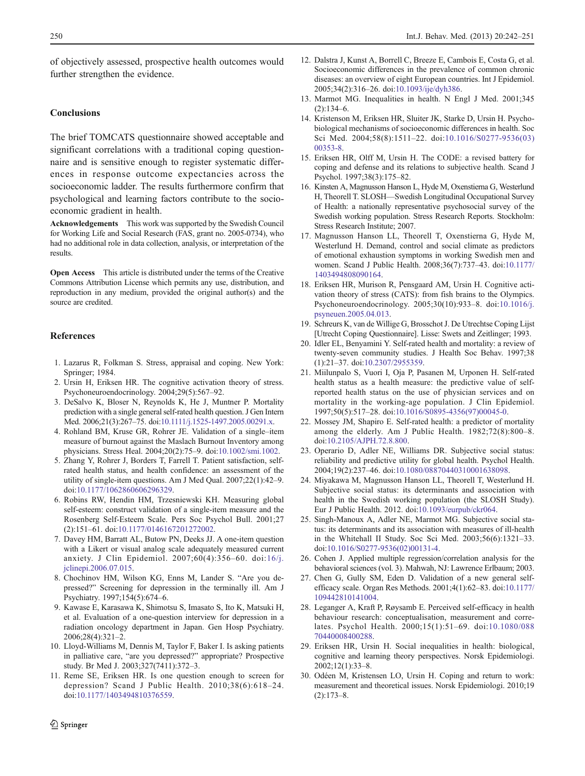<span id="page-8-0"></span>of objectively assessed, prospective health outcomes would further strengthen the evidence.

#### **Conclusions**

The brief TOMCATS questionnaire showed acceptable and significant correlations with a traditional coping questionnaire and is sensitive enough to register systematic differences in response outcome expectancies across the socioeconomic ladder. The results furthermore confirm that psychological and learning factors contribute to the socioeconomic gradient in health.

Acknowledgements This work was supported by the Swedish Council for Working Life and Social Research (FAS, grant no. 2005-0734), who had no additional role in data collection, analysis, or interpretation of the results.

Open Access This article is distributed under the terms of the Creative Commons Attribution License which permits any use, distribution, and reproduction in any medium, provided the original author(s) and the source are credited.

# References

- 1. Lazarus R, Folkman S. Stress, appraisal and coping. New York: Springer; 1984.
- 2. Ursin H, Eriksen HR. The cognitive activation theory of stress. Psychoneuroendocrinology. 2004;29(5):567–92.
- 3. DeSalvo K, Bloser N, Reynolds K, He J, Muntner P. Mortality prediction with a single general self-rated health question. J Gen Intern Med. 2006;21(3):267-75. doi:[10.1111/j.1525-1497.2005.00291.x.](http://dx.doi.org/10.1111/j.1525-1497.2005.00291.x)
- 4. Rohland BM, Kruse GR, Rohrer JE. Validation of a single–item measure of burnout against the Maslach Burnout Inventory among physicians. Stress Heal. 2004;20(2):75–9. doi[:10.1002/smi.1002](http://dx.doi.org/10.1002/smi.1002).
- 5. Zhang Y, Rohrer J, Borders T, Farrell T. Patient satisfaction, selfrated health status, and health confidence: an assessment of the utility of single-item questions. Am J Med Qual. 2007;22(1):42–9. doi[:10.1177/1062860606296329](http://dx.doi.org/10.1177/1062860606296329).
- 6. Robins RW, Hendin HM, Trzesniewski KH. Measuring global self-esteem: construct validation of a single-item measure and the Rosenberg Self-Esteem Scale. Pers Soc Psychol Bull. 2001;27 (2):151–61. doi[:10.1177/0146167201272002.](http://dx.doi.org/10.1177/0146167201272002)
- 7. Davey HM, Barratt AL, Butow PN, Deeks JJ. A one-item question with a Likert or visual analog scale adequately measured current anxiety. J Clin Epidemiol. 2007;60(4):356–60. doi:[16/j.](http://dx.doi.org/16/j.jclinepi.2006.07.015) [jclinepi.2006.07.015.](http://dx.doi.org/16/j.jclinepi.2006.07.015)
- 8. Chochinov HM, Wilson KG, Enns M, Lander S. "Are you depressed?" Screening for depression in the terminally ill. Am J Psychiatry. 1997;154(5):674–6.
- 9. Kawase E, Karasawa K, Shimotsu S, Imasato S, Ito K, Matsuki H, et al. Evaluation of a one-question interview for depression in a radiation oncology department in Japan. Gen Hosp Psychiatry. 2006;28(4):321–2.
- 10. Lloyd-Williams M, Dennis M, Taylor F, Baker I. Is asking patients in palliative care, "are you depressed?" appropriate? Prospective study. Br Med J. 2003;327(7411):372–3.
- 11. Reme SE, Eriksen HR. Is one question enough to screen for depression? Scand J Public Health. 2010;38(6):618–24. doi[:10.1177/1403494810376559](http://dx.doi.org/10.1177/1403494810376559).
- 12. Dalstra J, Kunst A, Borrell C, Breeze E, Cambois E, Costa G, et al. Socioeconomic differences in the prevalence of common chronic diseases: an overview of eight European countries. Int J Epidemiol. 2005;34(2):316–26. doi:[10.1093/ije/dyh386.](http://dx.doi.org/10.1093/ije/dyh386)
- 13. Marmot MG. Inequalities in health. N Engl J Med. 2001;345  $(2):134-6.$
- 14. Kristenson M, Eriksen HR, Sluiter JK, Starke D, Ursin H. Psychobiological mechanisms of socioeconomic differences in health. Soc Sci Med. 2004;58(8):1511–22. doi:[10.1016/S0277-9536\(03\)](http://dx.doi.org/10.1016/S0277-9536(03)00353-8) [00353-8](http://dx.doi.org/10.1016/S0277-9536(03)00353-8).
- 15. Eriksen HR, Olff M, Ursin H. The CODE: a revised battery for coping and defense and its relations to subjective health. Scand J Psychol. 1997;38(3):175–82.
- 16. Kinsten A, Magnusson Hanson L, Hyde M, Oxenstierna G, Westerlund H, Theorell T. SLOSH—Swedish Longitudinal Occupational Survey of Health: a nationally representative psychosocial survey of the Swedish working population. Stress Research Reports. Stockholm: Stress Research Institute; 2007.
- 17. Magnusson Hanson LL, Theorell T, Oxenstierna G, Hyde M, Westerlund H. Demand, control and social climate as predictors of emotional exhaustion symptoms in working Swedish men and women. Scand J Public Health. 2008;36(7):737–43. doi:[10.1177/](http://dx.doi.org/10.1177/1403494808090164) [1403494808090164](http://dx.doi.org/10.1177/1403494808090164).
- 18. Eriksen HR, Murison R, Pensgaard AM, Ursin H. Cognitive activation theory of stress (CATS): from fish brains to the Olympics. Psychoneuroendocrinology. 2005;30(10):933–8. doi:[10.1016/j.](http://dx.doi.org/10.1016/j.psyneuen.2005.04.013) [psyneuen.2005.04.013](http://dx.doi.org/10.1016/j.psyneuen.2005.04.013).
- 19. Schreurs K, van de Willige G, Brosschot J. De Utrechtse Coping Lijst [Utrecht Coping Questionnaire]. Lisse: Swets and Zeitlinger; 1993.
- 20. Idler EL, Benyamini Y. Self-rated health and mortality: a review of twenty-seven community studies. J Health Soc Behav. 1997;38 (1):21–37. doi:[10.2307/2955359](http://dx.doi.org/10.2307/2955359).
- 21. Miilunpalo S, Vuori I, Oja P, Pasanen M, Urponen H. Self-rated health status as a health measure: the predictive value of selfreported health status on the use of physician services and on mortality in the working-age population. J Clin Epidemiol. 1997;50(5):517–28. doi:[10.1016/S0895-4356\(97\)00045-0](http://dx.doi.org/10.1016/S0895-4356(97)00045-0).
- 22. Mossey JM, Shapiro E. Self-rated health: a predictor of mortality among the elderly. Am J Public Health. 1982;72(8):800–8. doi[:10.2105/AJPH.72.8.800.](http://dx.doi.org/10.2105/AJPH.72.8.800)
- 23. Operario D, Adler NE, Williams DR. Subjective social status: reliability and predictive utility for global health. Psychol Health. 2004;19(2):237–46. doi[:10.1080/08870440310001638098.](http://dx.doi.org/10.1080/08870440310001638098)
- 24. Miyakawa M, Magnusson Hanson LL, Theorell T, Westerlund H. Subjective social status: its determinants and association with health in the Swedish working population (the SLOSH Study). Eur J Public Health. 2012. doi[:10.1093/eurpub/ckr064.](http://dx.doi.org/10.1093/eurpub/ckr064)
- 25. Singh-Manoux A, Adler NE, Marmot MG. Subjective social status: its determinants and its association with measures of ill-health in the Whitehall II Study. Soc Sci Med. 2003;56(6):1321–33. doi[:10.1016/S0277-9536\(02\)00131-4](http://dx.doi.org/10.1016/S0277-9536(02)00131-4).
- 26. Cohen J. Applied multiple regression/correlation analysis for the behavioral sciences (vol. 3). Mahwah, NJ: Lawrence Erlbaum; 2003.
- 27. Chen G, Gully SM, Eden D. Validation of a new general selfefficacy scale. Organ Res Methods. 2001;4(1):62–83. doi:[10.1177/](http://dx.doi.org/10.1177/109442810141004) [109442810141004.](http://dx.doi.org/10.1177/109442810141004)
- 28. Leganger A, Kraft P, Røysamb E. Perceived self-efficacy in health behaviour research: conceptualisation, measurement and correlates. Psychol Health. 2000;15(1):51–69. doi:[10.1080/088](http://dx.doi.org/10.1080/08870440008400288) [70440008400288](http://dx.doi.org/10.1080/08870440008400288).
- 29. Eriksen HR, Ursin H. Social inequalities in health: biological, cognitive and learning theory perspectives. Norsk Epidemiologi. 2002;12(1):33–8.
- 30. Odéen M, Kristensen LO, Ursin H. Coping and return to work: measurement and theoretical issues. Norsk Epidemiologi. 2010;19  $(2):173-8.$